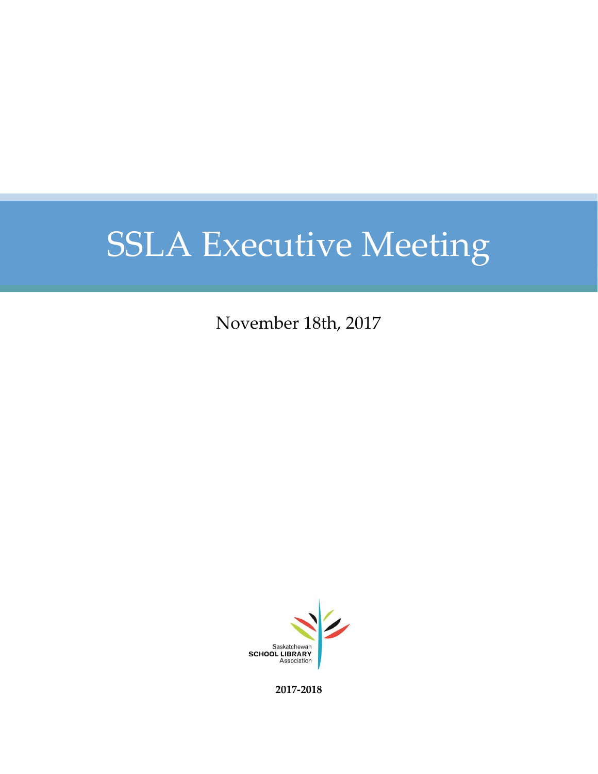# SSLA Executive Meeting

November 18th, 2017



**2017-2018**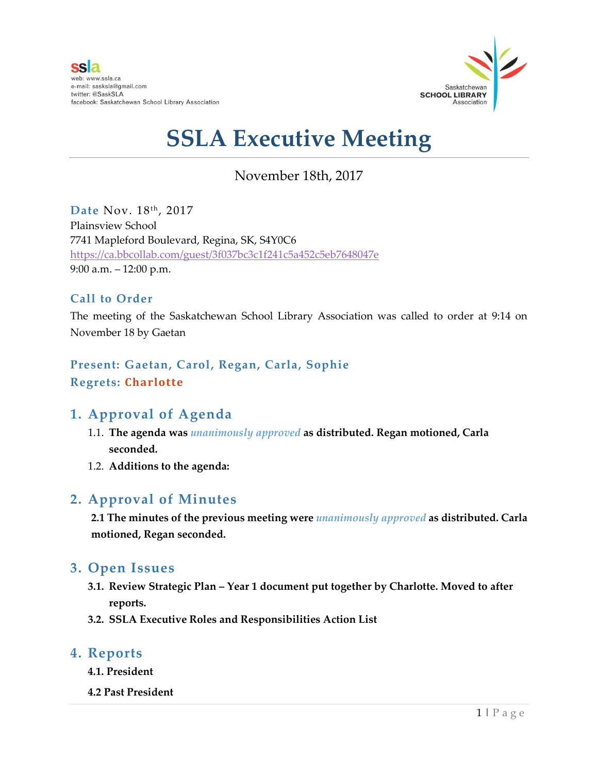

# **SSLA Executive Meeting**

# November 18th, 2017

Date Nov. 18th, 2017 Plainsview School 7741 Mapleford Boulevard, Regina, SK, S4Y0C6 <https://ca.bbcollab.com/guest/3f037bc3c1f241c5a452c5eb7648047e> 9:00 a.m. – 12:00 p.m.

## **Call to Order**

The meeting of the Saskatchewan School Library Association was called to order at 9:14 on November 18 by Gaetan

**Present: Gaetan, Carol, Regan, Carla, Sophie Regrets: Charlotte**

# **1. Approval of Agenda**

- 1.1. **The agenda was** *unanimously approved* **as distributed. Regan motioned, Carla seconded.**
- 1.2. **Additions to the agenda:**

# **2. Approval of Minutes**

**2.1 The minutes of the previous meeting were** *unanimously approved* **as distributed. Carla motioned, Regan seconded.**

## **3. Open Issues**

- **3.1. Review Strategic Plan – Year 1 document put together by Charlotte. Moved to after reports.**
- **3.2. SSLA Executive Roles and Responsibilities Action List**

#### **4. Reports**

- **4.1. President**
- **4.2 Past President**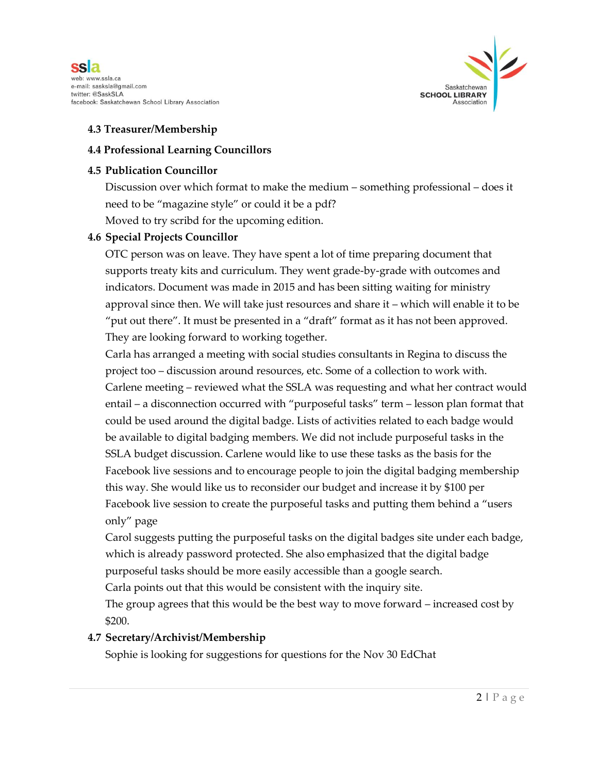



#### **4.3 Treasurer/Membership**

#### **4.4 Professional Learning Councillors**

#### **4.5 Publication Councillor**

Discussion over which format to make the medium – something professional – does it need to be "magazine style" or could it be a pdf? Moved to try scribd for the upcoming edition.

#### **4.6 Special Projects Councillor**

OTC person was on leave. They have spent a lot of time preparing document that supports treaty kits and curriculum. They went grade-by-grade with outcomes and indicators. Document was made in 2015 and has been sitting waiting for ministry approval since then. We will take just resources and share it – which will enable it to be "put out there". It must be presented in a "draft" format as it has not been approved. They are looking forward to working together.

Carla has arranged a meeting with social studies consultants in Regina to discuss the project too – discussion around resources, etc. Some of a collection to work with. Carlene meeting – reviewed what the SSLA was requesting and what her contract would entail – a disconnection occurred with "purposeful tasks" term – lesson plan format that could be used around the digital badge. Lists of activities related to each badge would be available to digital badging members. We did not include purposeful tasks in the SSLA budget discussion. Carlene would like to use these tasks as the basis for the Facebook live sessions and to encourage people to join the digital badging membership this way. She would like us to reconsider our budget and increase it by \$100 per Facebook live session to create the purposeful tasks and putting them behind a "users only" page

Carol suggests putting the purposeful tasks on the digital badges site under each badge, which is already password protected. She also emphasized that the digital badge purposeful tasks should be more easily accessible than a google search.

Carla points out that this would be consistent with the inquiry site.

The group agrees that this would be the best way to move forward – increased cost by \$200.

#### **4.7 Secretary/Archivist/Membership**

Sophie is looking for suggestions for questions for the Nov 30 EdChat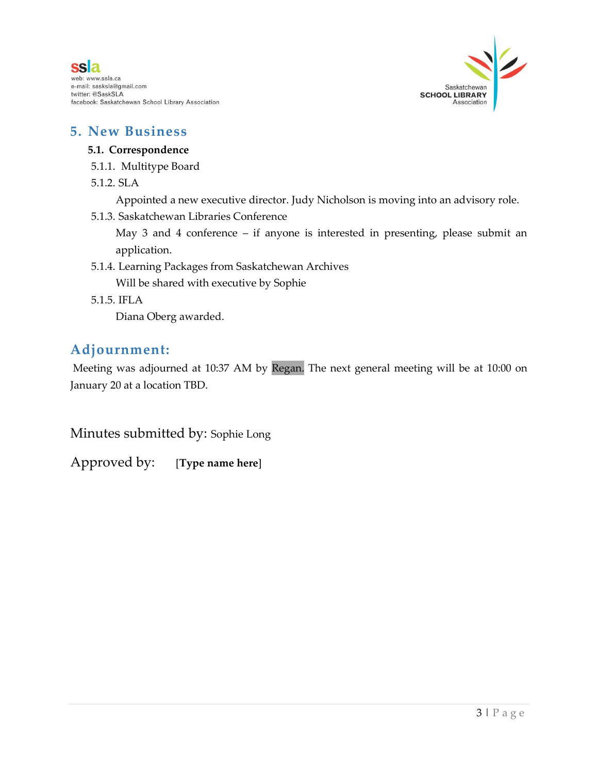



### **5. New Business**

#### **5.1. Correspondence**

- 5.1.1. Multitype Board
- 5.1.2. SLA

Appointed a new executive director. Judy Nicholson is moving into an advisory role.

5.1.3. Saskatchewan Libraries Conference

May 3 and 4 conference – if anyone is interested in presenting, please submit an application.

- 5.1.4. Learning Packages from Saskatchewan Archives Will be shared with executive by Sophie
- 5.1.5. IFLA

Diana Oberg awarded.

# **Adjournment:**

Meeting was adjourned at 10:37 AM by Regan. The next general meeting will be at 10:00 on January 20 at a location TBD.

Minutes submitted by: Sophie Long

Approved by: [**Type name here**]